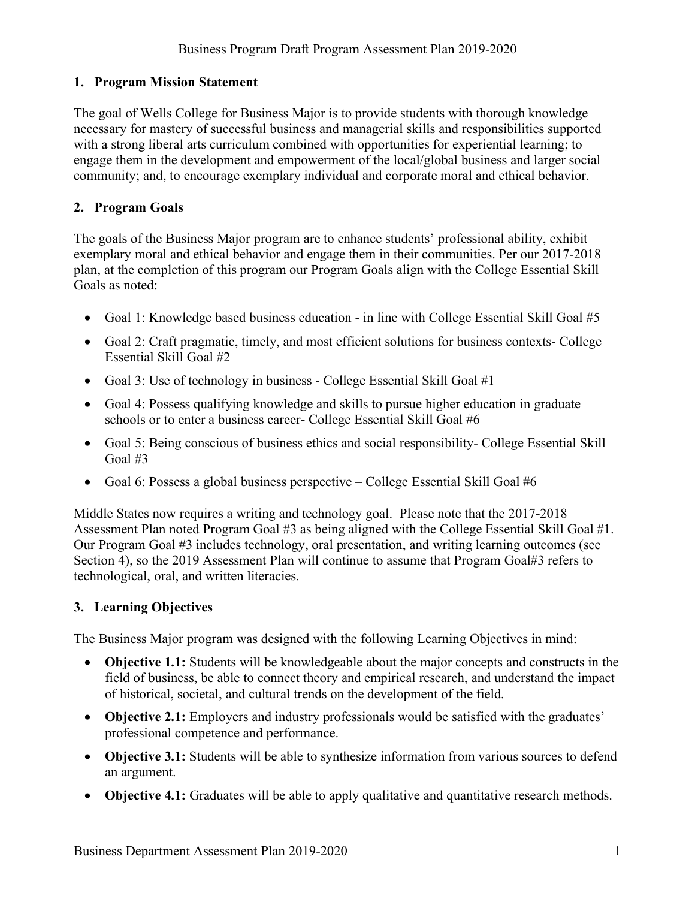## **1. Program Mission Statement**

The goal of Wells College for Business Major is to provide students with thorough knowledge necessary for mastery of successful business and managerial skills and responsibilities supported with a strong liberal arts curriculum combined with opportunities for experiential learning; to engage them in the development and empowerment of the local/global business and larger social community; and, to encourage exemplary individual and corporate moral and ethical behavior.

## **2. Program Goals**

The goals of the Business Major program are to enhance students' professional ability, exhibit exemplary moral and ethical behavior and engage them in their communities. Per our 2017-2018 plan, at the completion of this program our Program Goals align with the College Essential Skill Goals as noted:

- Goal 1: Knowledge based business education in line with College Essential Skill Goal #5
- Goal 2: Craft pragmatic, timely, and most efficient solutions for business contexts- College Essential Skill Goal #2
- Goal 3: Use of technology in business College Essential Skill Goal #1
- Goal 4: Possess qualifying knowledge and skills to pursue higher education in graduate schools or to enter a business career- College Essential Skill Goal #6
- Goal 5: Being conscious of business ethics and social responsibility- College Essential Skill Goal #3
- Goal 6: Possess a global business perspective College Essential Skill Goal  $#6$

Middle States now requires a writing and technology goal. Please note that the 2017-2018 Assessment Plan noted Program Goal #3 as being aligned with the College Essential Skill Goal #1. Our Program Goal #3 includes technology, oral presentation, and writing learning outcomes (see Section 4), so the 2019 Assessment Plan will continue to assume that Program Goal#3 refers to technological, oral, and written literacies.

#### **3. Learning Objectives**

The Business Major program was designed with the following Learning Objectives in mind:

- **Objective 1.1:** Students will be knowledgeable about the major concepts and constructs in the field of business, be able to connect theory and empirical research, and understand the impact of historical, societal, and cultural trends on the development of the field.
- **Objective 2.1:** Employers and industry professionals would be satisfied with the graduates' professional competence and performance.
- **Objective 3.1:** Students will be able to synthesize information from various sources to defend an argument.
- **Objective 4.1:** Graduates will be able to apply qualitative and quantitative research methods.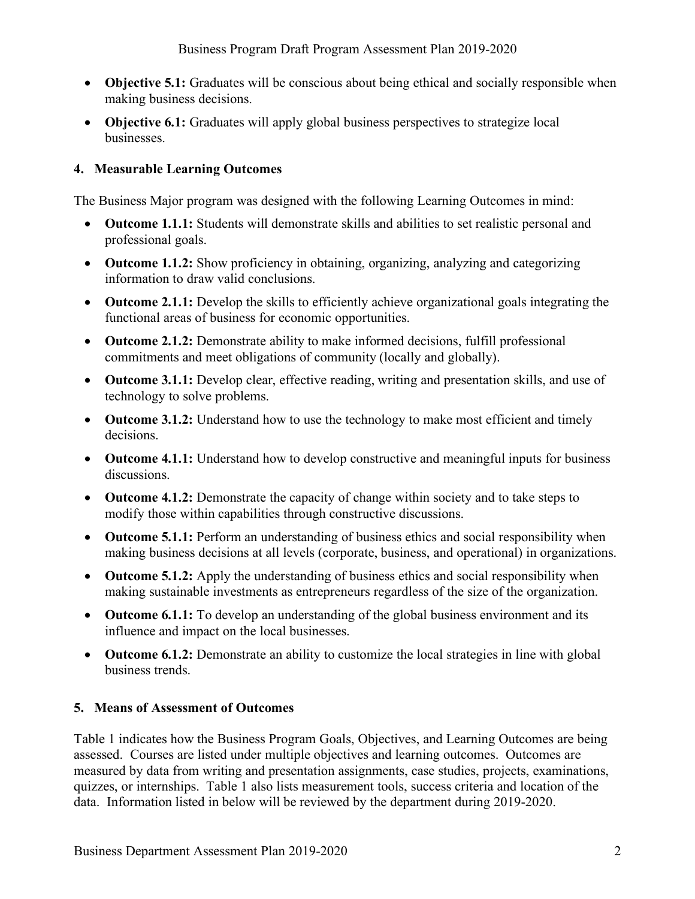- **Objective 5.1:** Graduates will be conscious about being ethical and socially responsible when making business decisions.
- **Objective 6.1:** Graduates will apply global business perspectives to strategize local businesses.

## **4. Measurable Learning Outcomes**

The Business Major program was designed with the following Learning Outcomes in mind:

- **Outcome 1.1.1:** Students will demonstrate skills and abilities to set realistic personal and professional goals.
- **Outcome 1.1.2:** Show proficiency in obtaining, organizing, analyzing and categorizing information to draw valid conclusions.
- **Outcome 2.1.1:** Develop the skills to efficiently achieve organizational goals integrating the functional areas of business for economic opportunities.
- **Outcome 2.1.2:** Demonstrate ability to make informed decisions, fulfill professional commitments and meet obligations of community (locally and globally).
- **Outcome 3.1.1:** Develop clear, effective reading, writing and presentation skills, and use of technology to solve problems.
- **Outcome 3.1.2:** Understand how to use the technology to make most efficient and timely decisions.
- **Outcome 4.1.1:** Understand how to develop constructive and meaningful inputs for business discussions.
- **Outcome 4.1.2:** Demonstrate the capacity of change within society and to take steps to modify those within capabilities through constructive discussions.
- **Outcome 5.1.1:** Perform an understanding of business ethics and social responsibility when making business decisions at all levels (corporate, business, and operational) in organizations.
- **Outcome 5.1.2:** Apply the understanding of business ethics and social responsibility when making sustainable investments as entrepreneurs regardless of the size of the organization.
- **Outcome 6.1.1:** To develop an understanding of the global business environment and its influence and impact on the local businesses.
- **Outcome 6.1.2:** Demonstrate an ability to customize the local strategies in line with global business trends.

# **5. Means of Assessment of Outcomes**

Table 1 indicates how the Business Program Goals, Objectives, and Learning Outcomes are being assessed. Courses are listed under multiple objectives and learning outcomes. Outcomes are measured by data from writing and presentation assignments, case studies, projects, examinations, quizzes, or internships. Table 1 also lists measurement tools, success criteria and location of the data. Information listed in below will be reviewed by the department during 2019-2020.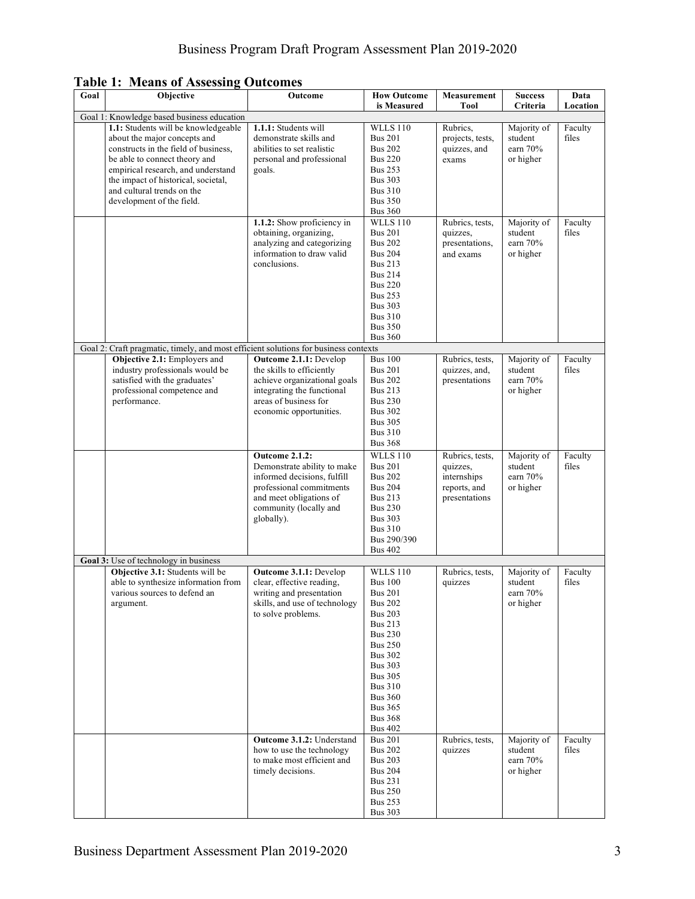| <b>Table 1: Means of Assessing Outcomes</b> |  |  |  |  |
|---------------------------------------------|--|--|--|--|
|---------------------------------------------|--|--|--|--|

| Goal | Objective                                                                                                                                                                                                                                                                            | Outcome                                                                                                                                                                            | <b>How Outcome</b><br>is Measured                                                                                                                                                                                                                                                                               | Measurement<br><b>Tool</b>                                                  | <b>Success</b><br>Criteria                                     | Data<br>Location            |
|------|--------------------------------------------------------------------------------------------------------------------------------------------------------------------------------------------------------------------------------------------------------------------------------------|------------------------------------------------------------------------------------------------------------------------------------------------------------------------------------|-----------------------------------------------------------------------------------------------------------------------------------------------------------------------------------------------------------------------------------------------------------------------------------------------------------------|-----------------------------------------------------------------------------|----------------------------------------------------------------|-----------------------------|
|      | Goal 1: Knowledge based business education                                                                                                                                                                                                                                           |                                                                                                                                                                                    |                                                                                                                                                                                                                                                                                                                 |                                                                             |                                                                |                             |
|      | 1.1: Students will be knowledgeable<br>about the major concepts and<br>constructs in the field of business,<br>be able to connect theory and<br>empirical research, and understand<br>the impact of historical, societal,<br>and cultural trends on the<br>development of the field. | 1.1.1: Students will<br>demonstrate skills and<br>abilities to set realistic<br>personal and professional<br>goals.                                                                | <b>WLLS 110</b><br><b>Bus 201</b><br><b>Bus 202</b><br><b>Bus 220</b><br><b>Bus 253</b><br><b>Bus 303</b><br><b>Bus 310</b><br><b>Bus 350</b><br><b>Bus 360</b>                                                                                                                                                 | Rubrics.<br>projects, tests,<br>quizzes, and<br>exams                       | Majority of<br>student<br>earn 70%<br>or higher                | Faculty<br>files            |
|      |                                                                                                                                                                                                                                                                                      | 1.1.2: Show proficiency in<br>obtaining, organizing,<br>analyzing and categorizing<br>information to draw valid<br>conclusions.                                                    | <b>WLLS 110</b><br><b>Bus 201</b><br><b>Bus 202</b><br><b>Bus 204</b><br><b>Bus 213</b><br><b>Bus 214</b><br><b>Bus 220</b><br><b>Bus 253</b><br><b>Bus 303</b><br><b>Bus 310</b><br><b>Bus 350</b><br><b>Bus 360</b>                                                                                           | Rubrics, tests,<br>quizzes,<br>presentations,<br>and exams                  | Majority of<br>student<br>earn 70%<br>or higher                | Faculty<br>files            |
|      | Goal 2: Craft pragmatic, timely, and most efficient solutions for business contexts                                                                                                                                                                                                  |                                                                                                                                                                                    |                                                                                                                                                                                                                                                                                                                 |                                                                             |                                                                |                             |
|      | Objective 2.1: Employers and<br>industry professionals would be<br>satisfied with the graduates'<br>professional competence and<br>performance.                                                                                                                                      | Outcome 2.1.1: Develop<br>the skills to efficiently<br>achieve organizational goals<br>integrating the functional<br>areas of business for<br>economic opportunities.              | <b>Bus 100</b><br><b>Bus 201</b><br><b>Bus 202</b><br><b>Bus 213</b><br><b>Bus 230</b><br><b>Bus 302</b><br><b>Bus 305</b><br><b>Bus 310</b><br><b>Bus 368</b>                                                                                                                                                  | Rubrics, tests,<br>quizzes, and,<br>presentations                           | Majority of<br>student<br>earn 70%<br>or higher                | Faculty<br>files            |
|      |                                                                                                                                                                                                                                                                                      | <b>Outcome 2.1.2:</b><br>Demonstrate ability to make<br>informed decisions, fulfill<br>professional commitments<br>and meet obligations of<br>community (locally and<br>globally). | <b>WLLS 110</b><br><b>Bus 201</b><br><b>Bus 202</b><br><b>Bus 204</b><br><b>Bus 213</b><br><b>Bus 230</b><br><b>Bus 303</b><br><b>Bus 310</b><br>Bus 290/390<br><b>Bus 402</b>                                                                                                                                  | Rubrics, tests,<br>quizzes,<br>internships<br>reports, and<br>presentations | Majority of<br>student<br>earn 70%<br>or higher                | Faculty<br>files            |
|      | Goal 3: Use of technology in business                                                                                                                                                                                                                                                |                                                                                                                                                                                    |                                                                                                                                                                                                                                                                                                                 |                                                                             |                                                                |                             |
|      | Objective 3.1: Students will be<br>able to synthesize information from<br>various sources to defend an<br>argument.                                                                                                                                                                  | Outcome 3.1.1: Develop<br>clear, effective reading,<br>writing and presentation<br>skills, and use of technology<br>to solve problems.<br>Outcome 3.1.2: Understand                | <b>WLLS 110</b><br><b>Bus 100</b><br><b>Bus 201</b><br><b>Bus 202</b><br><b>Bus 203</b><br><b>Bus 213</b><br><b>Bus 230</b><br><b>Bus 250</b><br><b>Bus 302</b><br><b>Bus 303</b><br><b>Bus 305</b><br><b>Bus 310</b><br><b>Bus 360</b><br><b>Bus 365</b><br><b>Bus 368</b><br><b>Bus 402</b><br><b>Bus 201</b> | Rubrics, tests,<br>quizzes                                                  | Majority of<br>student<br>earn 70%<br>or higher<br>Majority of | Faculty<br>files<br>Faculty |
|      |                                                                                                                                                                                                                                                                                      | how to use the technology<br>to make most efficient and<br>timely decisions.                                                                                                       | <b>Bus 202</b><br><b>Bus 203</b><br><b>Bus 204</b><br><b>Bus 231</b><br><b>Bus 250</b><br><b>Bus 253</b><br><b>Bus 303</b>                                                                                                                                                                                      | Rubrics, tests,<br>quizzes                                                  | student<br>earn 70%<br>or higher                               | files                       |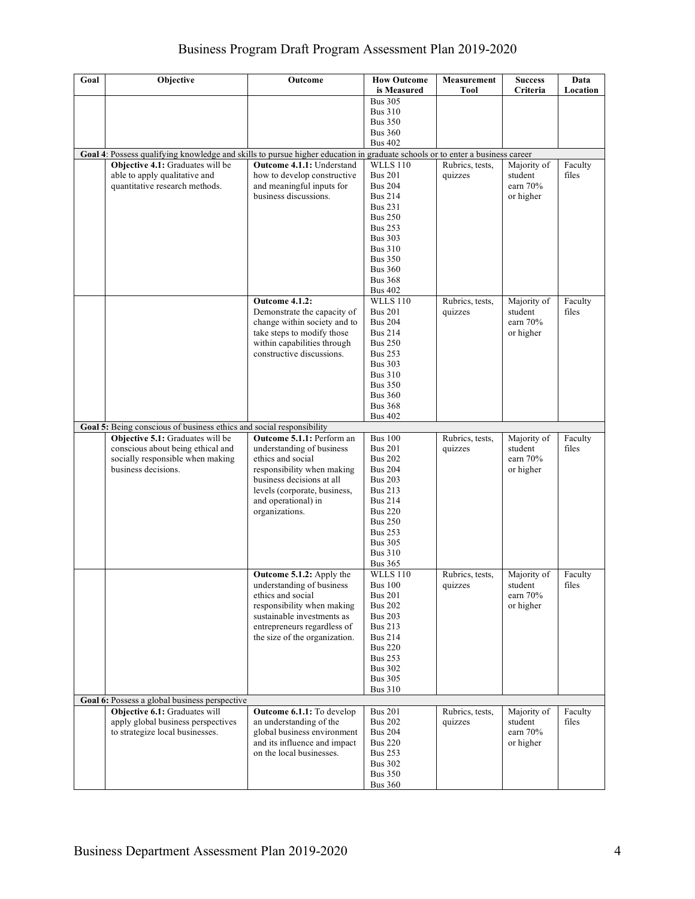# Business Program Draft Program Assessment Plan 2019-2020

| Goal | Objective                                                                                                                        | Outcome                                                                                                                                                                                                         | <b>How Outcome</b><br>is Measured                                                                                                                                                                                                       | Measurement<br><b>Tool</b> | <b>Success</b><br>Criteria                        | Data<br>Location |
|------|----------------------------------------------------------------------------------------------------------------------------------|-----------------------------------------------------------------------------------------------------------------------------------------------------------------------------------------------------------------|-----------------------------------------------------------------------------------------------------------------------------------------------------------------------------------------------------------------------------------------|----------------------------|---------------------------------------------------|------------------|
|      |                                                                                                                                  |                                                                                                                                                                                                                 | <b>Bus 305</b><br><b>Bus 310</b><br><b>Bus 350</b><br><b>Bus 360</b><br><b>Bus 402</b>                                                                                                                                                  |                            |                                                   |                  |
|      | Goal 4: Possess qualifying knowledge and skills to pursue higher education in graduate schools or to enter a business career     |                                                                                                                                                                                                                 |                                                                                                                                                                                                                                         |                            |                                                   |                  |
|      | Objective 4.1: Graduates will be<br>able to apply qualitative and<br>quantitative research methods.                              | <b>Outcome 4.1.1: Understand</b><br>how to develop constructive<br>and meaningful inputs for<br>business discussions.                                                                                           | <b>WLLS 110</b><br><b>Bus 201</b><br><b>Bus 204</b><br><b>Bus 214</b><br><b>Bus 231</b><br><b>Bus 250</b><br><b>Bus 253</b><br><b>Bus 303</b><br><b>Bus 310</b><br><b>Bus 350</b><br><b>Bus 360</b><br><b>Bus 368</b><br><b>Bus 402</b> | Rubrics, tests,<br>quizzes | Majority of<br>student<br>earn 70%<br>or higher   | Faculty<br>files |
|      |                                                                                                                                  | <b>Outcome 4.1.2:</b><br>Demonstrate the capacity of<br>change within society and to<br>take steps to modify those<br>within capabilities through<br>constructive discussions.                                  | <b>WLLS 110</b><br><b>Bus 201</b><br><b>Bus 204</b><br><b>Bus 214</b><br><b>Bus 250</b><br><b>Bus 253</b><br><b>Bus 303</b><br><b>Bus 310</b><br><b>Bus 350</b><br><b>Bus 360</b><br><b>Bus 368</b><br><b>Bus 402</b>                   | Rubrics, tests,<br>quizzes | Majority of<br>student<br>earn 70%<br>or higher   | Faculty<br>files |
|      | Goal 5: Being conscious of business ethics and social responsibility                                                             |                                                                                                                                                                                                                 |                                                                                                                                                                                                                                         |                            |                                                   |                  |
|      | Objective 5.1: Graduates will be<br>conscious about being ethical and<br>socially responsible when making<br>business decisions. | Outcome 5.1.1: Perform an<br>understanding of business<br>ethics and social<br>responsibility when making<br>business decisions at all<br>levels (corporate, business,<br>and operational) in<br>organizations. | <b>Bus 100</b><br><b>Bus 201</b><br><b>Bus 202</b><br><b>Bus 204</b><br><b>Bus 203</b><br><b>Bus 213</b><br><b>Bus 214</b><br><b>Bus 220</b><br><b>Bus 250</b><br><b>Bus 253</b><br><b>Bus 305</b><br><b>Bus 310</b><br><b>Bus 365</b>  | Rubrics, tests,<br>quizzes | Majority of<br>student<br>earn 70%<br>or higher   | Faculty<br>files |
|      |                                                                                                                                  | <b>Outcome 5.1.2:</b> Apply the<br>understanding of business<br>ethics and social<br>responsibility when making<br>sustainable investments as<br>entrepreneurs regardless of<br>the size of the organization.   | <b>WLLS 110</b><br><b>Bus 100</b><br><b>Bus 201</b><br><b>Bus 202</b><br><b>Bus 203</b><br><b>Bus 213</b><br><b>Bus 214</b><br><b>Bus 220</b><br><b>Bus 253</b><br><b>Bus 302</b><br><b>Bus 305</b><br><b>Bus 310</b>                   | Rubrics, tests,<br>quizzes | Majority of<br>student<br>earn $70%$<br>or higher | Faculty<br>files |
|      | Goal 6: Possess a global business perspective                                                                                    |                                                                                                                                                                                                                 |                                                                                                                                                                                                                                         |                            |                                                   |                  |
|      | Objective 6.1: Graduates will<br>apply global business perspectives<br>to strategize local businesses.                           | <b>Outcome 6.1.1:</b> To develop<br>an understanding of the<br>global business environment<br>and its influence and impact<br>on the local businesses.                                                          | <b>Bus 201</b><br><b>Bus 202</b><br><b>Bus 204</b><br><b>Bus 220</b><br><b>Bus 253</b><br><b>Bus 302</b><br><b>Bus 350</b><br><b>Bus 360</b>                                                                                            | Rubrics, tests,<br>quizzes | Majority of<br>student<br>earn 70%<br>or higher   | Faculty<br>files |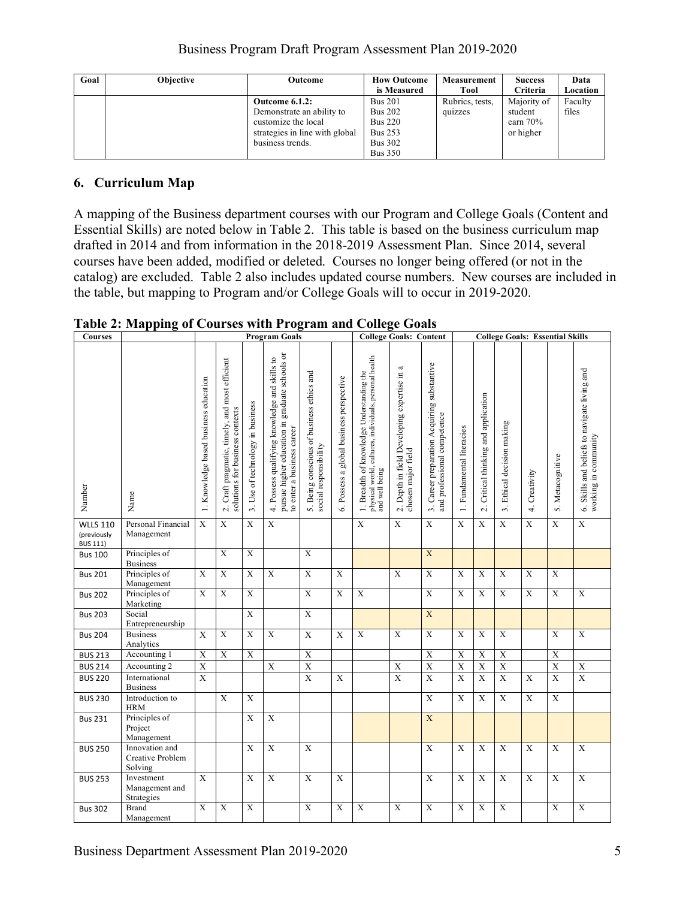| Goal | <b>Objective</b> | Outcome                                                                                                                  | <b>How Outcome</b><br>is Measured                                                                        | Measurement<br>Tool        | <b>Success</b><br><b>Criteria</b>                 | Data<br>Location |
|------|------------------|--------------------------------------------------------------------------------------------------------------------------|----------------------------------------------------------------------------------------------------------|----------------------------|---------------------------------------------------|------------------|
|      |                  | Outcome 6.1.2:<br>Demonstrate an ability to<br>customize the local<br>strategies in line with global<br>business trends. | <b>Bus 201</b><br><b>Bus 202</b><br><b>Bus 220</b><br><b>Bus 253</b><br><b>Bus 302</b><br><b>Bus 350</b> | Rubrics, tests.<br>quizzes | Majority of<br>student<br>earn $70%$<br>or higher | Faculty<br>files |

## **6. Curriculum Map**

A mapping of the Business department courses with our Program and College Goals (Content and Essential Skills) are noted below in Table 2. This table is based on the business curriculum map drafted in 2014 and from information in the 2018-2019 Assessment Plan. Since 2014, several courses have been added, modified or deleted. Courses no longer being offered (or not in the catalog) are excluded. Table 2 also includes updated course numbers. New courses are included in the table, but mapping to Program and/or College Goals will to occur in 2019-2020.

| Courses                                           |                                               |                                       |                                                                                                       |                                             | <b>Program Goals</b>                                                                                                          |                                                                    |                                             |                                                                                                                       | <b>College Goals: Content</b>                                        |                                                                                       |                           |                                                               | <b>College Goals: Essential Skills</b> |                         |                     |                                                                      |
|---------------------------------------------------|-----------------------------------------------|---------------------------------------|-------------------------------------------------------------------------------------------------------|---------------------------------------------|-------------------------------------------------------------------------------------------------------------------------------|--------------------------------------------------------------------|---------------------------------------------|-----------------------------------------------------------------------------------------------------------------------|----------------------------------------------------------------------|---------------------------------------------------------------------------------------|---------------------------|---------------------------------------------------------------|----------------------------------------|-------------------------|---------------------|----------------------------------------------------------------------|
| Number                                            | Name                                          | 1. Knowledge based business education | Craft pragmatic, timely, and most efficient<br>solutions for business contexts<br>$\overline{\alpha}$ | Use of technology in business<br>$\ddot{ }$ | pursue higher education in graduate schools or<br>4. Possess qualifying knowledge and skills to<br>to enter a business career | 5. Being conscious of business ethics and<br>social responsibility | Possess a global business perspective<br>Ġ. | physical world, cultures, individuals, personal health<br>and well being<br>1. Breadth of knowledge Understanding the | a<br>2. Depth in field Developing expertise in<br>chosen major field | Career preparation Acquiring substantive<br>and professional competence<br>$\ddot{ }$ | 1. Fundamental literacies | Critical thinking and application<br>$\overline{\mathcal{L}}$ | Ethical decision making<br>$\vec{e}$   | Creativity<br>$\vec{r}$ | Metacognitive<br>S. | 6. Skills and beliefs to navigate living and<br>working in community |
| <b>WLLS 110</b><br>(previously<br><b>BUS 111)</b> | Personal Financial<br>Management              | $\overline{X}$                        | $\overline{X}$                                                                                        | X                                           | $\overline{X}$                                                                                                                |                                                                    |                                             | $\overline{X}$                                                                                                        | $\overline{X}$                                                       | $\overline{X}$                                                                        | $\overline{X}$            | $\overline{X}$                                                | $\overline{X}$                         | $\overline{X}$          | $\overline{X}$      | $\overline{X}$                                                       |
| <b>Bus 100</b>                                    | Principles of<br><b>Business</b>              |                                       | $\mathbf X$                                                                                           | $\mathbf X$                                 |                                                                                                                               | $\mathbf X$                                                        |                                             |                                                                                                                       |                                                                      | X                                                                                     |                           |                                                               |                                        |                         |                     |                                                                      |
| <b>Bus 201</b>                                    | Principles of<br>Management                   | $\overline{X}$                        | $\overline{X}$                                                                                        | $\overline{X}$                              | $\overline{X}$                                                                                                                | $\overline{X}$                                                     | X                                           |                                                                                                                       | $\overline{X}$                                                       | $\overline{X}$                                                                        | $\overline{X}$            | $\mathbf X$                                                   | $\overline{X}$                         | $\overline{X}$          | X                   |                                                                      |
| <b>Bus 202</b>                                    | Principles of<br>Marketing                    | $\overline{X}$                        | $\overline{X}$                                                                                        | $\overline{X}$                              |                                                                                                                               | $\overline{X}$                                                     | $\overline{\mathbf{X}}$                     | $\overline{X}$                                                                                                        |                                                                      | $\overline{X}$                                                                        | $\overline{X}$            | $\overline{\mathbf{X}}$                                       | $\overline{X}$                         | $\overline{X}$          | $\overline{X}$      | $\overline{X}$                                                       |
| <b>Bus 203</b>                                    | Social<br>Entrepreneurship                    |                                       |                                                                                                       | $\mathbf X$                                 |                                                                                                                               | $\overline{X}$                                                     |                                             |                                                                                                                       |                                                                      | $\mathbf X$                                                                           |                           |                                                               |                                        |                         |                     |                                                                      |
| <b>Bus 204</b>                                    | <b>Business</b><br>Analytics                  | X                                     | $\overline{X}$                                                                                        | $\overline{X}$                              | $\overline{X}$                                                                                                                | $\overline{X}$                                                     | $\mathbf X$                                 | $\overline{X}$                                                                                                        | X                                                                    | $\overline{X}$                                                                        | $\overline{X}$            | $\mathbf X$                                                   | $\overline{X}$                         |                         | X                   | $\overline{X}$                                                       |
| <b>BUS 213</b>                                    | Accounting 1                                  | $\mathbf X$                           | X                                                                                                     | $\mathbf X$                                 |                                                                                                                               | $\mathbf X$                                                        |                                             |                                                                                                                       |                                                                      | $\boldsymbol{\mathrm{X}}$                                                             | $\overline{\textbf{X}}$   | $\overline{\textbf{X}}$                                       | $\overline{X}$                         |                         | $\mathbf X$         |                                                                      |
| <b>BUS 214</b>                                    | Accounting 2                                  | $\overline{\textbf{X}}$               |                                                                                                       |                                             | $\mathbf X$                                                                                                                   | $\mathbf X$                                                        |                                             |                                                                                                                       | $\boldsymbol{\mathrm{X}}$                                            | $\overline{\text{X}}$                                                                 | $\overline{X}$            | $\mathbf X$                                                   | $\boldsymbol{\mathrm{X}}$              |                         | $\overline{X}$      | $\mathbf X$                                                          |
| <b>BUS 220</b>                                    | International<br><b>Business</b>              | $\overline{X}$                        |                                                                                                       |                                             |                                                                                                                               | $\overline{X}$                                                     | $\mathbf X$                                 |                                                                                                                       | X                                                                    | $\overline{X}$                                                                        | $\overline{X}$            | $\mathbf X$                                                   | $\overline{X}$                         | X                       | X                   | $\overline{X}$                                                       |
| <b>BUS 230</b>                                    | Introduction to<br><b>HRM</b>                 |                                       | $\mathbf X$                                                                                           | $\mathbf X$                                 |                                                                                                                               |                                                                    |                                             |                                                                                                                       |                                                                      | $\overline{X}$                                                                        | $\overline{X}$            | $\overline{X}$                                                | $\overline{X}$                         | X                       | $\overline{X}$      |                                                                      |
| <b>Bus 231</b>                                    | Principles of<br>Project<br>Management        |                                       |                                                                                                       | $\overline{X}$                              | $\mathbf X$                                                                                                                   |                                                                    |                                             |                                                                                                                       |                                                                      | $\mathbf X$                                                                           |                           |                                                               |                                        |                         |                     |                                                                      |
| <b>BUS 250</b>                                    | Innovation and<br>Creative Problem<br>Solving |                                       |                                                                                                       | X                                           | $\overline{X}$                                                                                                                | $\overline{X}$                                                     |                                             |                                                                                                                       |                                                                      | $\mathbf X$                                                                           | X                         | X                                                             | $\overline{X}$                         | X                       | X                   | X                                                                    |
| <b>BUS 253</b>                                    | Investment<br>Management and<br>Strategies    | X                                     |                                                                                                       | X                                           | $\mathbf X$                                                                                                                   | $\mathbf X$                                                        | X                                           |                                                                                                                       |                                                                      | $\mathbf X$                                                                           | X                         | $\mathbf X$                                                   | $\mathbf X$                            | X                       | X                   | $\mathbf X$                                                          |
| <b>Bus 302</b>                                    | <b>Brand</b><br>Management                    | $\mathbf X$                           | X                                                                                                     | X                                           |                                                                                                                               | $\mathbf X$                                                        | X                                           | $\mathbf X$                                                                                                           | $\boldsymbol{\mathrm{X}}$                                            | $\mathbf X$                                                                           | $\mathbf X$               | X                                                             | $\mathbf X$                            |                         | $\mathbf X$         | $\mathbf X$                                                          |

**Table 2: Mapping of Courses with Program and College Goals**